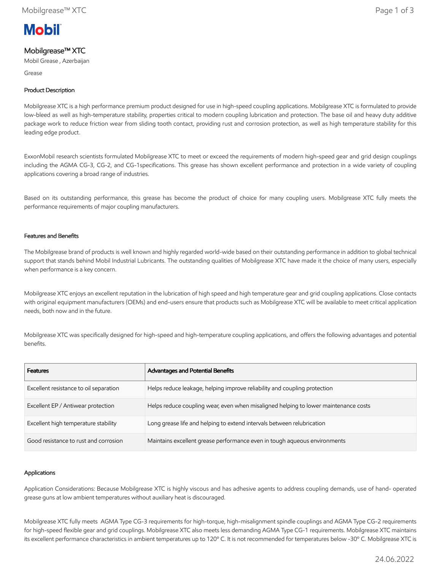

# Mobilgrease™ XTC

Mobil Grease , Azerbaijan

Grease

### Product Description

Mobilgrease XTC is a high performance premium product designed for use in high-speed coupling applications. Mobilgrease XTC is formulated to provide low-bleed as well as high-temperature stability, properties critical to modern coupling lubrication and protection. The base oil and heavy duty additive package work to reduce friction wear from sliding tooth contact, providing rust and corrosion protection, as well as high temperature stability for this leading edge product.

ExxonMobil research scientists formulated Mobilgrease XTC to meet or exceed the requirements of modern high-speed gear and grid design couplings including the AGMA CG-3, CG-2, and CG-1specifications. This grease has shown excellent performance and protection in a wide variety of coupling applications covering a broad range of industries.

Based on its outstanding performance, this grease has become the product of choice for many coupling users. Mobilgrease XTC fully meets the performance requirements of major coupling manufacturers.

### Features and Benefits

The Mobilgrease brand of products is well known and highly regarded world-wide based on their outstanding performance in addition to global technical support that stands behind Mobil Industrial Lubricants. The outstanding qualities of Mobilgrease XTC have made it the choice of many users, especially when performance is a key concern.

Mobilgrease XTC enjoys an excellent reputation in the lubrication of high speed and high temperature gear and grid coupling applications. Close contacts with original equipment manufacturers (OEMs) and end-users ensure that products such as Mobilgrease XTC will be available to meet critical application needs, both now and in the future.

Mobilgrease XTC was specifically designed for high-speed and high-temperature coupling applications, and offers the following advantages and potential benefits.

| <b>Features</b>                        | Advantages and Potential Benefits                                                   |
|----------------------------------------|-------------------------------------------------------------------------------------|
| Excellent resistance to oil separation | Helps reduce leakage, helping improve reliability and coupling protection           |
| Excellent EP / Antiwear protection     | Helps reduce coupling wear, even when misaligned helping to lower maintenance costs |
| Excellent high temperature stability   | Long grease life and helping to extend intervals between relubrication              |
| Good resistance to rust and corrosion  | Maintains excellent grease performance even in tough aqueous environments           |

### Applications

Application Considerations: Because Mobilgrease XTC is highly viscous and has adhesive agents to address coupling demands, use of hand- operated grease guns at low ambient temperatures without auxiliary heat is discouraged.

Mobilgrease XTC fully meets AGMA Type CG-3 requirements for high-torque, high-misalignment spindle couplings and AGMA Type CG-2 requirements for high-speed flexible gear and grid couplings. Mobilgrease XTC also meets less demanding AGMA Type CG-1 requirements. Mobilgrease XTC maintains its excellent performance characteristics in ambient temperatures up to 120º C. It is not recommended for temperatures below -30º C. Mobilgrease XTC is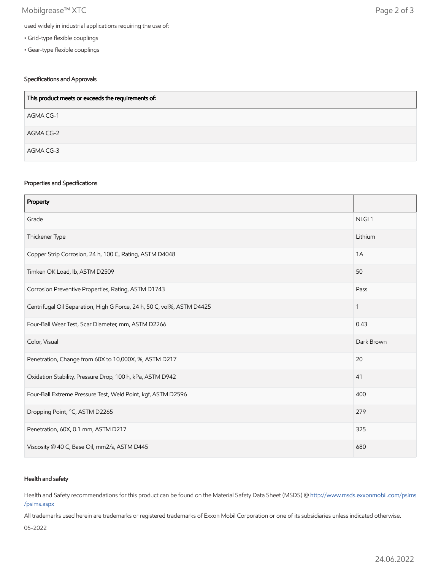## Mobilgrease™ XTC Page 2 of 3

- Grid-type flexible couplings
- Gear-type flexible couplings

### Specifications and Approvals

| This product meets or exceeds the requirements of: |  |
|----------------------------------------------------|--|
| AGMA CG-1                                          |  |
| AGMA CG-2                                          |  |
| AGMA CG-3                                          |  |

### Properties and Specifications

| Property                                                               |                   |
|------------------------------------------------------------------------|-------------------|
| Grade                                                                  | NLGI <sub>1</sub> |
| Thickener Type                                                         | Lithium           |
| Copper Strip Corrosion, 24 h, 100 C, Rating, ASTM D4048                | 1A                |
| Timken OK Load, lb, ASTM D2509                                         | 50                |
| Corrosion Preventive Properties, Rating, ASTM D1743                    | Pass              |
| Centrifugal Oil Separation, High G Force, 24 h, 50 C, vol%, ASTM D4425 | 1                 |
| Four-Ball Wear Test, Scar Diameter, mm, ASTM D2266                     | 0.43              |
| Color, Visual                                                          | Dark Brown        |
| Penetration, Change from 60X to 10,000X, %, ASTM D217                  | 20                |
| Oxidation Stability, Pressure Drop, 100 h, kPa, ASTM D942              | 41                |
| Four-Ball Extreme Pressure Test, Weld Point, kgf, ASTM D2596           | 400               |
| Dropping Point, °C, ASTM D2265                                         | 279               |
| Penetration, 60X, 0.1 mm, ASTM D217                                    | 325               |
| Viscosity @ 40 C, Base Oil, mm2/s, ASTM D445                           | 680               |

### Health and safety

Health and Safety recommendations for this product can be found on the Material Safety Data Sheet (MSDS) @ [http://www.msds.exxonmobil.com/psims](http://www.msds.exxonmobil.com/psims/psims.aspx) /psims.aspx

All trademarks used herein are trademarks or registered trademarks of Exxon Mobil Corporation or one of its subsidiaries unless indicated otherwise.

05-2022